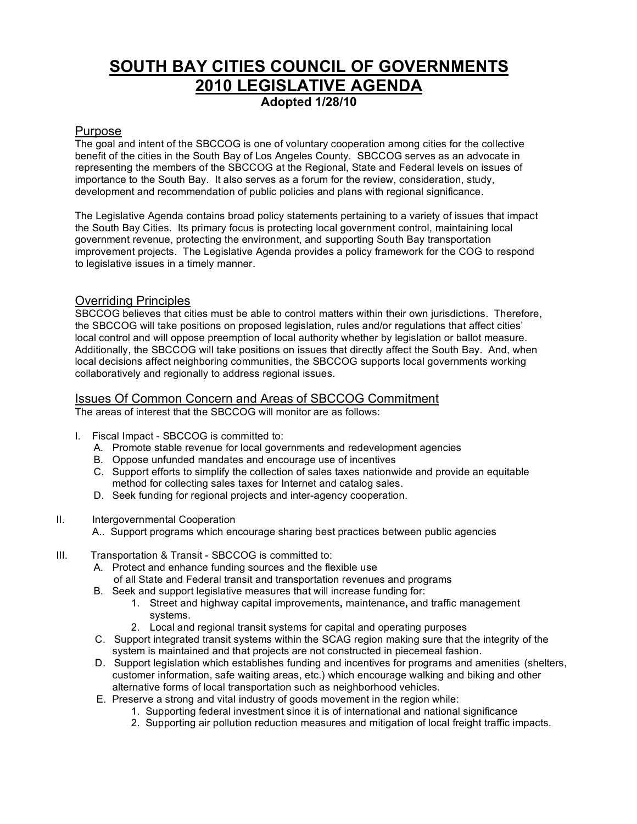## **SOUTH BAY CITIES COUNCIL OF GOVERNMENTS 2010 LEGISLATIVE AGENDA Adopted 1/28/10**

## Purpose

The goal and intent of the SBCCOG is one of voluntary cooperation among cities for the collective benefit of the cities in the South Bay of Los Angeles County. SBCCOG serves as an advocate in representing the members of the SBCCOG at the Regional, State and Federal levels on issues of importance to the South Bay. It also serves as a forum for the review, consideration, study, development and recommendation of public policies and plans with regional significance.

The Legislative Agenda contains broad policy statements pertaining to a variety of issues that impact the South Bay Cities. Its primary focus is protecting local government control, maintaining local government revenue, protecting the environment, and supporting South Bay transportation improvement projects. The Legislative Agenda provides a policy framework for the COG to respond to legislative issues in a timely manner.

## Overriding Principles

SBCCOG believes that cities must be able to control matters within their own jurisdictions. Therefore, the SBCCOG will take positions on proposed legislation, rules and/or regulations that affect cities' local control and will oppose preemption of local authority whether by legislation or ballot measure. Additionally, the SBCCOG will take positions on issues that directly affect the South Bay. And, when local decisions affect neighboring communities, the SBCCOG supports local governments working collaboratively and regionally to address regional issues.

## Issues Of Common Concern and Areas of SBCCOG Commitment

The areas of interest that the SBCCOG will monitor are as follows:

- I. Fiscal Impact SBCCOG is committed to:
	- A. Promote stable revenue for local governments and redevelopment agencies
	- B. Oppose unfunded mandates and encourage use of incentives
	- C. Support efforts to simplify the collection of sales taxes nationwide and provide an equitable method for collecting sales taxes for Internet and catalog sales.
	- D. Seek funding for regional projects and inter-agency cooperation.
- II. Intergovernmental Cooperation
	- A.. Support programs which encourage sharing best practices between public agencies
- III. Transportation & Transit SBCCOG is committed to:
	- A. Protect and enhance funding sources and the flexible use
		- of all State and Federal transit and transportation revenues and programs
	- B. Seek and support legislative measures that will increase funding for:
		- 1. Street and highway capital improvements**,** maintenance**,** and traffic management systems.
		- 2. Local and regional transit systems for capital and operating purposes
	- C. Support integrated transit systems within the SCAG region making sure that the integrity of the system is maintained and that projects are not constructed in piecemeal fashion.
	- D. Support legislation which establishes funding and incentives for programs and amenities (shelters, customer information, safe waiting areas, etc.) which encourage walking and biking and other alternative forms of local transportation such as neighborhood vehicles.
	- E. Preserve a strong and vital industry of goods movement in the region while:
		- 1. Supporting federal investment since it is of international and national significance
		- 2. Supporting air pollution reduction measures and mitigation of local freight traffic impacts.